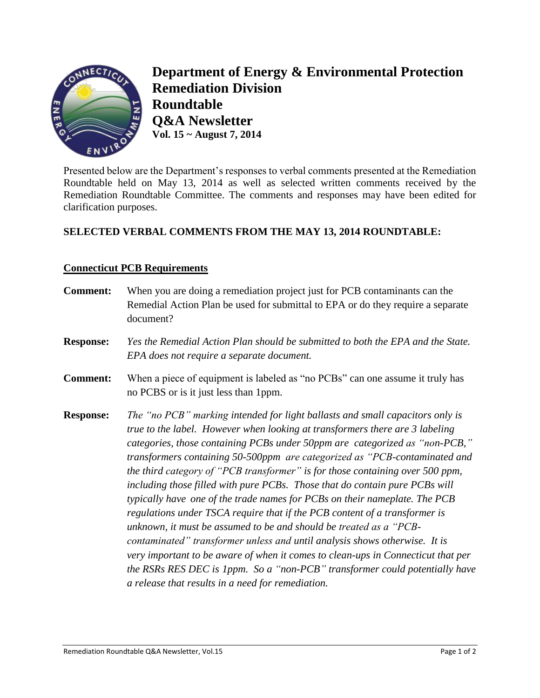

**Department of Energy & Environmental Protection Remediation Division Roundtable Q&A Newsletter Vol. 15 ~ August 7, 2014**

Presented below are the Department's responses to verbal comments presented at the Remediation Roundtable held on May 13, 2014 as well as selected written comments received by the Remediation Roundtable Committee. The comments and responses may have been edited for clarification purposes.

## **SELECTED VERBAL COMMENTS FROM THE MAY 13, 2014 ROUNDTABLE:**

## **Connecticut PCB Requirements**

- **Comment:** When you are doing a remediation project just for PCB contaminants can the Remedial Action Plan be used for submittal to EPA or do they require a separate document?
- **Response:** *Yes the Remedial Action Plan should be submitted to both the EPA and the State. EPA does not require a separate document.*
- **Comment:** When a piece of equipment is labeled as "no PCBs" can one assume it truly has no PCBS or is it just less than 1ppm.
- **Response:** *The "no PCB" marking intended for light ballasts and small capacitors only is true to the label. However when looking at transformers there are 3 labeling categories, those containing PCBs under 50ppm are categorized as "non-PCB," transformers containing 50-500ppm are categorized as "PCB-contaminated and the third category of "PCB transformer" is for those containing over 500 ppm, including those filled with pure PCBs. Those that do contain pure PCBs will typically have one of the trade names for PCBs on their nameplate. The PCB regulations under TSCA require that if the PCB content of a transformer is unknown, it must be assumed to be and should be treated as a "PCBcontaminated" transformer unless and until analysis shows otherwise. It is very important to be aware of when it comes to clean-ups in Connecticut that per the RSRs RES DEC is 1ppm. So a "non-PCB" transformer could potentially have a release that results in a need for remediation.*